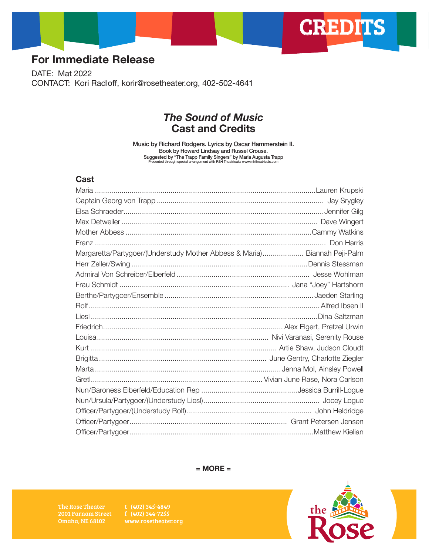

# **For Immediate Release**

DATE: Mat 2022 CONTACT: Kori Radloff, korir@rosetheater.org, 402-502-4641

# *The Sound of Music*  **Cast and Credits**

Music by Richard Rodgers. Lyrics by Oscar Hammerstein II. Book by Howard Lindsay and Russel Crouse. Suggested by "The Trapp Family Singers" by Maria Augusta Trapp Presented through special arrangement with R&H Theatricals: www.mhtheatricals.com

#### **Cast**

| Margaretta/Partygoer/(Understudy Mother Abbess & Maria) Biannah Peji-Palm |  |
|---------------------------------------------------------------------------|--|
|                                                                           |  |
|                                                                           |  |
|                                                                           |  |
|                                                                           |  |
|                                                                           |  |
|                                                                           |  |
|                                                                           |  |
|                                                                           |  |
|                                                                           |  |
|                                                                           |  |
|                                                                           |  |
|                                                                           |  |
|                                                                           |  |
|                                                                           |  |
|                                                                           |  |
|                                                                           |  |
|                                                                           |  |

**= MORE =**

The Rose Theater 2001 Farnam Street Omaha, NE 68102

t (402) 345-4849 f (402) 344-7255 www.rosetheater.org